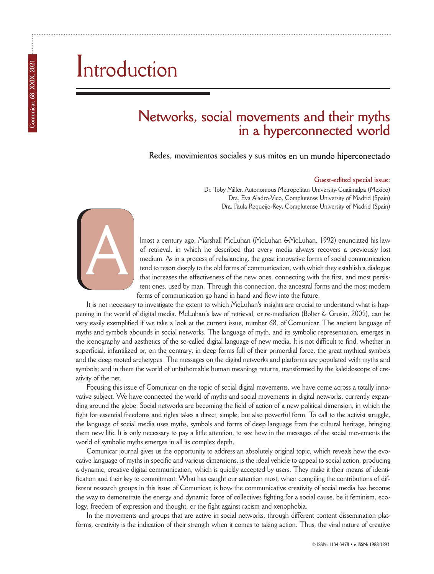## Introduction

### **Networks, social movements and their myths in a hyperconnected world**

**Redes, movimientos sociales y sus mitos en un mundo hiperconectado**

#### **Guest-edited special issue:**

Dr. Toby Miller, Autonomous Metropolitan University-Cuajimalpa (Mexico) Dra. Eva Aladro-Vico, Complutense University of Madrid (Spain) Dra. Paula Requeijo-Rey, Complutense University of Madrid (Spain)



lmost a century ago, Marshall McLuhan (McLuhan &McLuhan, 1992) enunciated his law of retrieval, in which he described that every media always recovers a previously lost medium. As in a process of rebalancing, the great innovative forms of social communication tend to resort deeply to the old forms of communication, with which they establish a dialogue that increases the effectiveness of the new ones, connecting with the first, and most persistent ones, used by man. Through this connection, the ancestral forms and the most modern forms of communication go hand in hand and flow into the future.

It is not necessary to investigate the extent to which McLuhan's insights are crucial to understand what is happening in the world of digital media. McLuhan's law of retrieval, or re-mediation (Bolter & Grusin, 2005), can be very easily exemplified if we take a look at the current issue, number 68, of Comunicar. The ancient language of myths and symbols abounds in social networks. The language of myth, and its symbolic representation, emerges in the iconography and aesthetics of the so-called digital language of new media. It is not difficult to find, whether in superficial, infantilized or, on the contrary, in deep forms full of their primordial force, the great mythical symbols and the deep rooted archetypes. The messages on the digital networks and platforms are populated with myths and symbols; and in them the world of unfathomable human meanings returns, transformed by the kaleidoscope of creativity of the net.

Focusing this issue of Comunicar on the topic of social digital movements, we have come across a totally innovative subject. We have connected the world of myths and social movements in digital networks, currently expanding around the globe. Social networks are becoming the field of action of a new political dimension, in which the fight for essential freedoms and rights takes a direct, simple, but also powerful form. To call to the activist struggle, the language of social media uses myths, symbols and forms of deep language from the cultural heritage, bringing them new life. It is only necessary to pay a little attention, to see how in the messages of the social movements the world of symbolic myths emerges in all its complex depth.

Comunicar journal gives us the opportunity to address an absolutely original topic, which reveals how the evocative language of myths in specific and various dimensions, is the ideal vehicle to appeal to social action, producing a dynamic, creative digital communication, which is quickly accepted by users. They make it their means of identification and their key to commitment. What has caught our attention most, when compiling the contributions of different research groups in this issue of Comunicar, is how the communicative creativity of social media has become the way to demonstrate the energy and dynamic force of collectives fighting for a social cause, be it feminism, ecology, freedom of expression and thought, or the fight against racism and xenophobia.

In the movements and groups that are active in social networks, through different content dissemination platforms, creativity is the indication of their strength when it comes to taking action. Thus, the viral nature of creative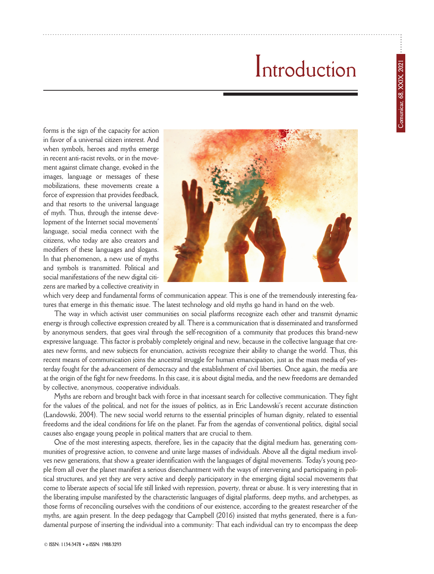# Introduction

forms is the sign of the capacity for action in favor of a universal citizen interest. And when symbols, heroes and myths emerge in recent anti-racist revolts, or in the movement against climate change, evoked in the images, language or messages of these mobilizations, these movements create a force of expression that provides feedback, and that resorts to the universal language of myth. Thus, through the intense development of the Internet social movements' language, social media connect with the citizens, who today are also creators and modifiers of these languages and slogans. In that phenomenon, a new use of myths and symbols is transmitted. Political and social manifestations of the new digital citizens are marked by a collective creativity in



which very deep and fundamental forms of communication appear. This is one of the tremendously interesting features that emerge in this thematic issue. The latest technology and old myths go hand in hand on the web.

The way in which activist user communities on social platforms recognize each other and transmit dynamic energy is through collective expression created by all. There is a communication that is disseminated and transformed by anonymous senders, that goes viral through the self-recognition of a community that produces this brand-new expressive language. This factor is probably completely original and new, because in the collective language that creates new forms, and new subjects for enunciation, activists recognize their ability to change the world. Thus, this recent means of communication joins the ancestral struggle for human emancipation, just as the mass media of yesterday fought for the advancement of democracy and the establishment of civil liberties. Once again, the media are at the origin of the fight for new freedoms. In this case, it is about digital media, and the new freedoms are demanded by collective, anonymous, cooperative individuals.

Myths are reborn and brought back with force in that incessant search for collective communication. They fight for the values of the political, and not for the issues of politics, as in Eric Landowski's recent accurate distinction (Landowski, 2004). The new social world returns to the essential principles of human dignity, related to essential freedoms and the ideal conditions for life on the planet. Far from the agendas of conventional politics, digital social causes also engage young people in political matters that are crucial to them.

One of the most interesting aspects, therefore, lies in the capacity that the digital medium has, generating communities of progressive action, to convene and unite large masses of individuals. Above all the digital medium involves new generations, that show a greater identification with the languages of digital movements. Today's young people from all over the planet manifest a serious disenchantment with the ways of intervening and participating in political structures, and yet they are very active and deeply participatory in the emerging digital social movements that come to liberate aspects of social life still linked with repression, poverty, threat or abuse. It is very interesting that in the liberating impulse manifested by the characteristic languages of digital platforms, deep myths, and archetypes, as those forms of reconciling ourselves with the conditions of our existence, according to the greatest researcher of the myths, are again present. In the deep pedagogy that Campbell (2016) insisted that myths generated, there is a fundamental purpose of inserting the individual into a community: That each individual can try to encompass the deep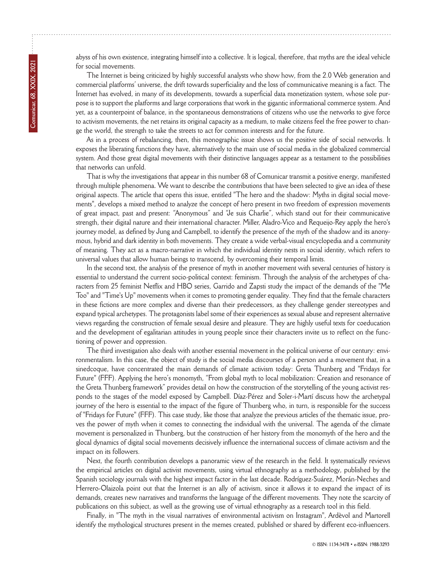abyss of his own existence, integrating himself into a collective. It is logical, therefore, that myths are the ideal vehicle for social movements.

The Internet is being criticized by highly successful analysts who show how, from the 2.0 Web generation and commercial platforms' universe, the drift towards superficiality and the loss of communicative meaning is a fact. The Internet has evolved, in many of its developments, towards a superficial data monetization system, whose sole purpose is to support the platforms and large corporations that work in the gigantic informational commerce system. And yet, as a counterpoint of balance, in the spontaneous demonstrations of citizens who use the networks to give force to activism movements, the net retains its original capacity as a medium, to make citizens feel the free power to change the world, the strength to take the streets to act for common interests and for the future.

As in a process of rebalancing, then, this monographic issue shows us the positive side of social networks. It exposes the liberating functions they have, alternatively to the main use of social media in the globalized commercial system. And those great digital movements with their distinctive languages appear as a testament to the possibilities that networks can unfold.

That is why the investigations that appear in this number 68 of Comunicar transmit a positive energy, manifested through multiple phenomena. We want to describe the contributions that have been selected to give an idea of these original aspects. The article that opens this issue, entitled "The hero and the shadow: Myths in digital social movements", develops a mixed method to analyze the concept of hero present in two freedom of expression movements of great impact, past and present: "Anonymous" and "Je suis Charlie", which stand out for their communicative strength, their digital nature and their international character. Miller, Aladro-Vico and Requeijo-Rey apply the hero's journey model, as defined by Jung and Campbell, to identify the presence of the myth of the shadow and its anonymous, hybrid and dark identity in both movements. They create a wide verbal-visual encyclopedia and a community of meaning. They act as a macro-narrative in which the individual identity nests in social identity, which refers to universal values that allow human beings to transcend, by overcoming their temporal limits.

In the second text, the analysis of the presence of myth in another movement with several centuries of history is essential to understand the current socio-political context: feminism. Through the analysis of the archetypes of characters from 25 feminist Netflix and HBO series, Garrido and Zapsti study the impact of the demands of the "Me Too" and "Time's Up" movements when it comes to promoting gender equality. They find that the female characters in these fictions are more complex and diverse than their predecessors, as they challenge gender stereotypes and expand typical archetypes. The protagonists label some of their experiences as sexual abuse and represent alternative views regarding the construction of female sexual desire and pleasure. They are highly useful texts for coeducation and the development of egalitarian attitudes in young people since their characters invite us to reflect on the functioning of power and oppression.

The third investigation also deals with another essential movement in the political universe of our century: environmentalism. In this case, the object of study is the social media discourses of a person and a movement that, in a sinedcoque, have concentrated the main demands of climate activism today: Greta Thunberg and "Fridays for Future" (FFF). Applying the hero's monomyth, "From global myth to local mobilization: Creation and resonance of the Greta Thunberg framework" provides detail on how the construction of the storytelling of the young activist responds to the stages of the model exposed by Campbell. Díaz-Pérez and Soler-i-Martí discuss how the archetypal journey of the hero is essential to the impact of the figure of Thunberg who, in turn, is responsible for the success of "Fridays for Future" (FFF). This case study, like those that analyze the previous articles of the thematic issue, proves the power of myth when it comes to connecting the individual with the universal. The agenda of the climate movement is personalized in Thunberg, but the construction of her history from the monomyth of the hero and the glocal dynamics of digital social movements decisively influence the international success of climate activism and the impact on its followers.

Next, the fourth contribution develops a panoramic view of the research in the field. It systematically reviews the empirical articles on digital activist movements, using virtual ethnography as a methodology, published by the Spanish sociology journals with the highest impact factor in the last decade. Rodríguez-Suárez, Morán-Neches and Herrero-Olaizola point out that the Internet is an ally of activism, since it allows it to expand the impact of its demands, creates new narratives and transforms the language of the different movements. They note the scarcity of publications on this subject, as well as the growing use of virtual ethnography as a research tool in this field.

Finally, in "The myth in the visual narratives of environmental activism on Instagram", Ardèvol and Martorell identify the mythological structures present in the memes created, published or shared by different eco-influencers.